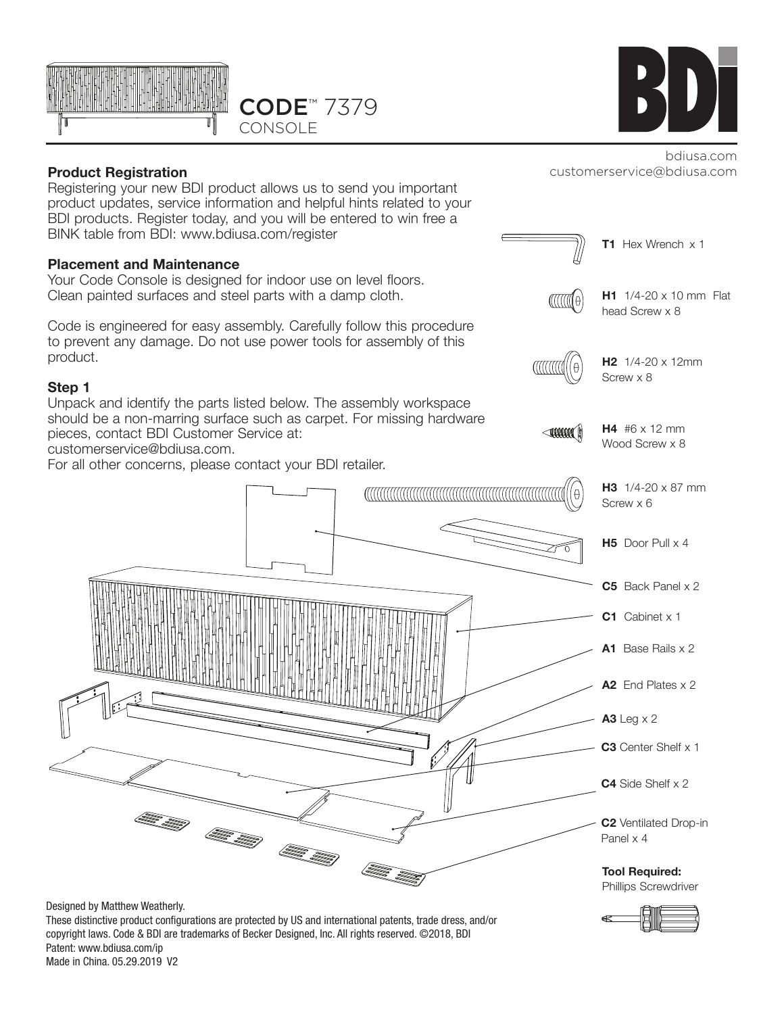

# **Product Registration**

Registering your new BDI product allows us to send you important product updates, service information and helpful hints related to your BDI products. Register today, and you will be entered to win free a BINK table from BDI: www.bdiusa.com/register

#### **Placement and Maintenance**

Your Code Console is designed for indoor use on level floors. Clean painted surfaces and steel parts with a damp cloth.

Code is engineered for easy assembly. Carefully follow this procedure to prevent any damage. Do not use power tools for assembly of this product.

#### **Step 1**

Unpack and identify the parts listed below. The assembly workspace should be a non-marring surface such as carpet. For missing hardware pieces, contact BDI Customer Service at:

customerservice@bdiusa.com.

For all other concerns, please contact your BDI retailer.



These distinctive product configurations are protected by US and international patents, trade dress, and/or copyright laws. Code & BDI are trademarks of Becker Designed, Inc. All rights reserved. ©2018, BDI Patent: www.bdiusa.com/ip Made in China. 05.29.2019 V2



#### bdiusa.com customerservice@bdiusa.com

**T1** Hex Wrench x 1

head Screw x 8

**H2** 1/4-20 x 12mm

**H4** #6 x 12 mm Wood Screw x 8

Screw x 8

**H1** 1/4-20 x 10 mm Flat

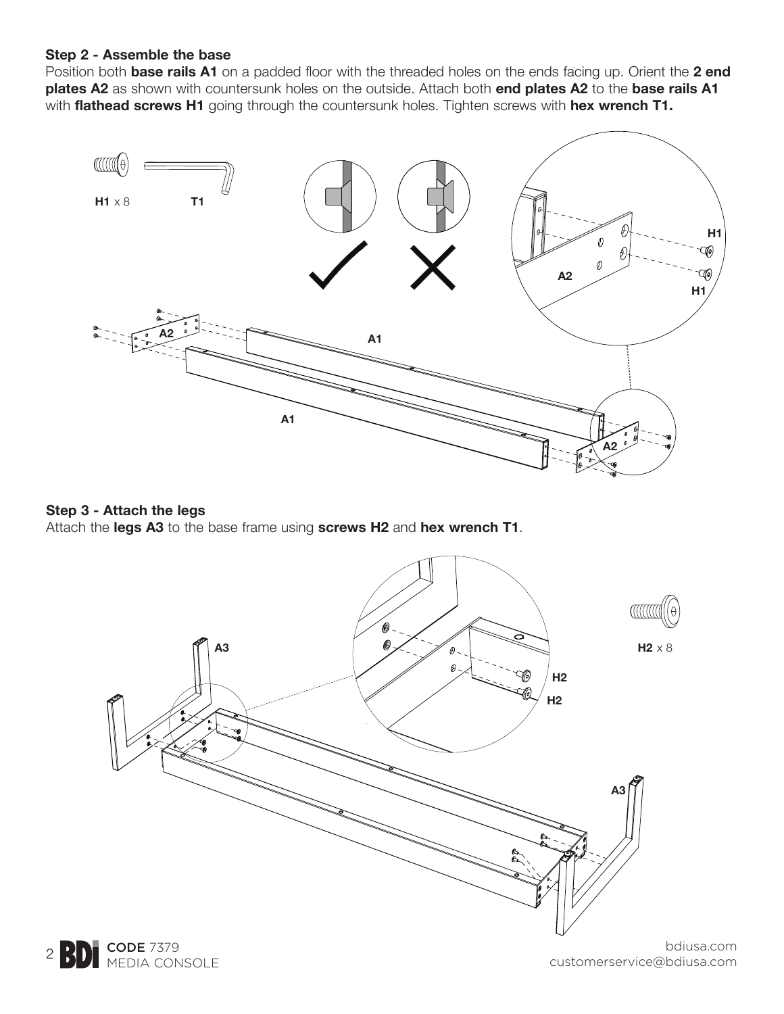#### **Step 2 - Assemble the base**

Position both **base rails A1** on a padded floor with the threaded holes on the ends facing up. Orient the **2 end plates A2** as shown with countersunk holes on the outside. Attach both **end plates A2** to the **base rails A1** with **flathead screws H1** going through the countersunk holes. Tighten screws with **hex wrench T1.**



### **Step 3 - Attach the legs**

Attach the **legs A3** to the base frame using **screws H2** and **hex wrench T1**.

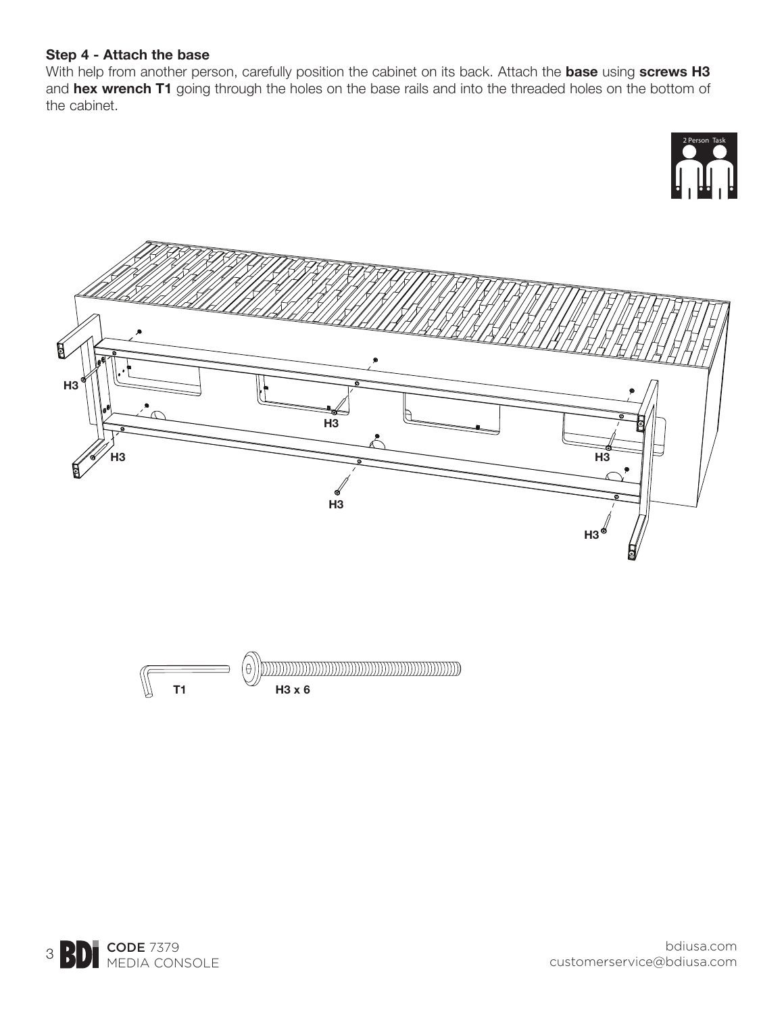### **Step 4 - Attach the base**

With help from another person, carefully position the cabinet on its back. Attach the **base** using **screws H3**  and **hex wrench T1** going through the holes on the base rails and into the threaded holes on the bottom of the cabinet.







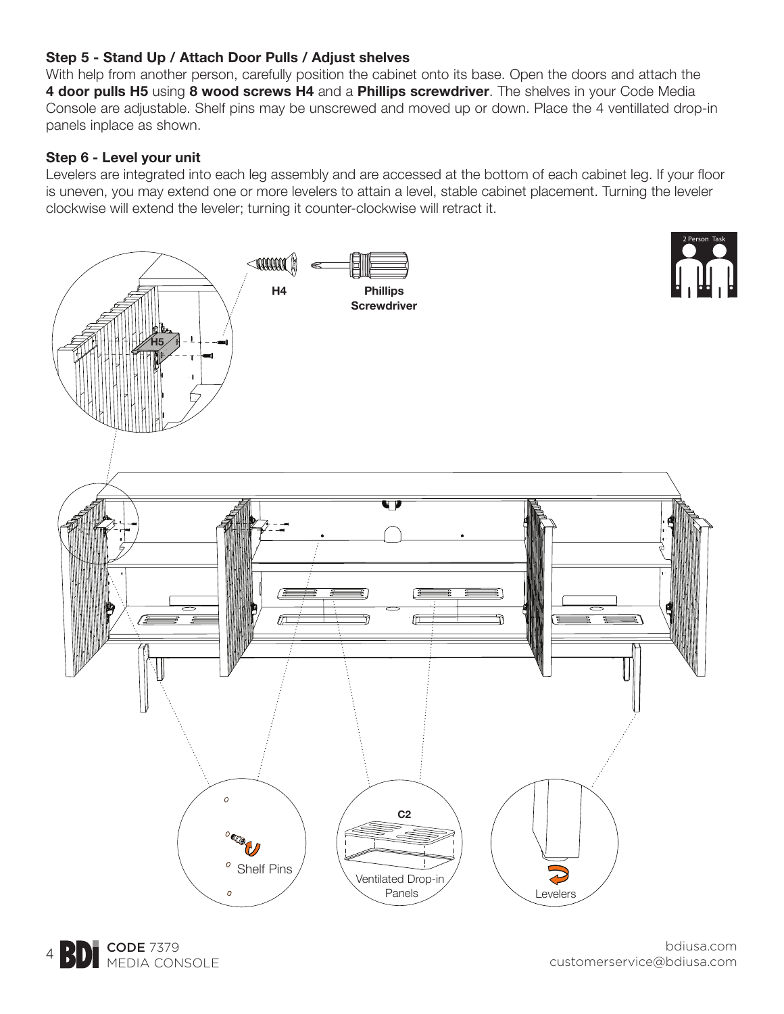# **Step 5 - Stand Up / Attach Door Pulls / Adjust shelves**

With help from another person, carefully position the cabinet onto its base. Open the doors and attach the **4 door pulls H5** using **8 wood screws H4** and a **Phillips screwdriver**. The shelves in your Code Media Console are adjustable. Shelf pins may be unscrewed and moved up or down. Place the 4 ventillated drop-in panels inplace as shown.

# **Step 6 - Level your unit**

Levelers are integrated into each leg assembly and are accessed at the bottom of each cabinet leg. If your floor is uneven, you may extend one or more levelers to attain a level, stable cabinet placement. Turning the leveler clockwise will extend the leveler; turning it counter-clockwise will retract it.



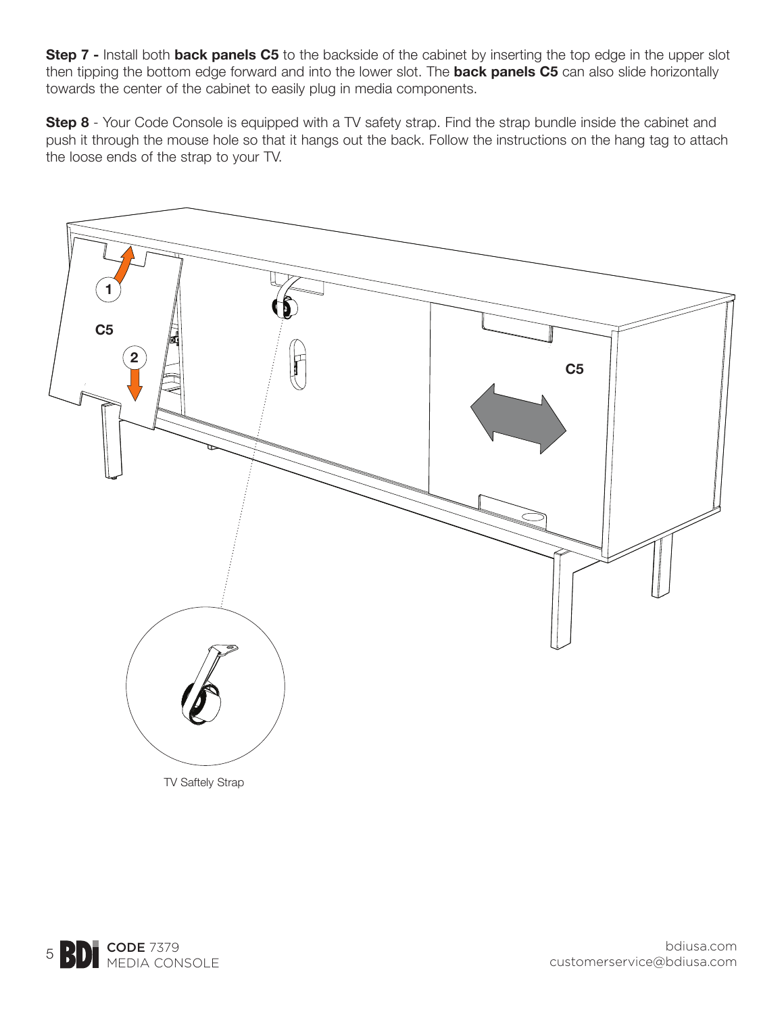**Step 7 -** Install both **back panels C5** to the backside of the cabinet by inserting the top edge in the upper slot then tipping the bottom edge forward and into the lower slot. The **back panels C5** can also slide horizontally towards the center of the cabinet to easily plug in media components.

**Step 8** - Your Code Console is equipped with a TV safety strap. Find the strap bundle inside the cabinet and push it through the mouse hole so that it hangs out the back. Follow the instructions on the hang tag to attach the loose ends of the strap to your TV.